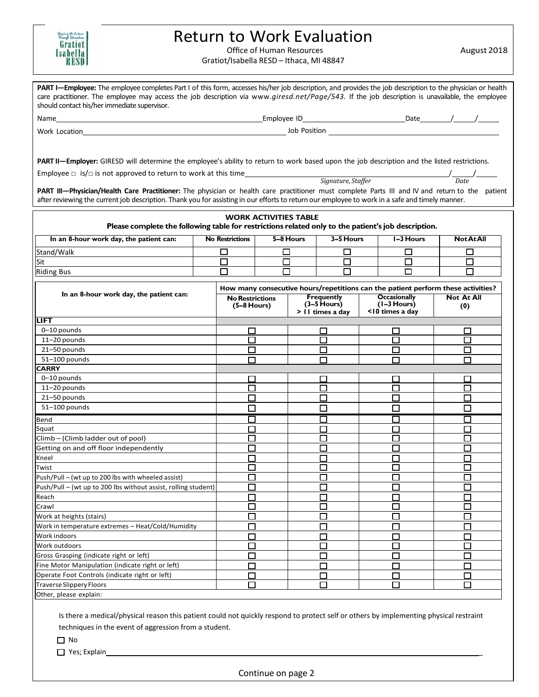| Thursd E   |  |
|------------|--|
| Gration    |  |
| Isabella I |  |
| RESD I     |  |

## Return to Work Evaluation

Office of Human Resources

Gratiot/Isabella RESD – Ithaca, MI 48847

August 2018

| PART I-Employee: The employee completes Part I of this form, accesses his/her job description, and provides the job description to the physician or health                                                                                                                                         |  |                                         |                              |                                     |                  |  |                                      |                                                                                  |
|----------------------------------------------------------------------------------------------------------------------------------------------------------------------------------------------------------------------------------------------------------------------------------------------------|--|-----------------------------------------|------------------------------|-------------------------------------|------------------|--|--------------------------------------|----------------------------------------------------------------------------------|
| care practitioner. The employee may access the job description via www.giresd.net/Page/543. If the job description is unavailable, the employee<br>should contact his/her immediate supervisor.                                                                                                    |  |                                         |                              |                                     |                  |  |                                      |                                                                                  |
|                                                                                                                                                                                                                                                                                                    |  |                                         |                              |                                     |                  |  |                                      |                                                                                  |
| Work Location <b>Example 2018</b> The Contract of the Contract of the Contract of the Contract of the Contract of the Contract of the Contract of the Contract of the Contract of the Contract of the Contract of the Contract of t                                                                |  |                                         |                              |                                     |                  |  |                                      |                                                                                  |
|                                                                                                                                                                                                                                                                                                    |  |                                         |                              |                                     |                  |  |                                      |                                                                                  |
|                                                                                                                                                                                                                                                                                                    |  |                                         |                              |                                     |                  |  |                                      |                                                                                  |
| PART II-Employer: GIRESD will determine the employee's ability to return to work based upon the job description and the listed restrictions.                                                                                                                                                       |  |                                         |                              |                                     |                  |  |                                      |                                                                                  |
|                                                                                                                                                                                                                                                                                                    |  |                                         |                              |                                     |                  |  |                                      |                                                                                  |
| Employee $\Box$ is/ $\Box$ is not approved to return to work at this time<br>Signature, Staffer Staffer                                                                                                                                                                                            |  |                                         |                              |                                     |                  |  |                                      |                                                                                  |
| PART III-Physician/Health Care Practitioner: The physician or health care practitioner must complete Parts III and IV and return to the patient<br>after reviewing the current job description. Thank you for assisting in our efforts to return our employee to work in a safe and timely manner. |  |                                         |                              |                                     |                  |  |                                      |                                                                                  |
|                                                                                                                                                                                                                                                                                                    |  |                                         | <b>WORK ACTIVITIES TABLE</b> |                                     |                  |  |                                      |                                                                                  |
| Please complete the following table for restrictions related only to the patient's job description.                                                                                                                                                                                                |  |                                         |                              |                                     |                  |  |                                      |                                                                                  |
| In an 8-hour work day, the patient can:                                                                                                                                                                                                                                                            |  | <b>No Restrictions</b>                  |                              | 5-8 Hours                           | 3-5 Hours        |  | I-3 Hours                            | <b>NotAtAll</b>                                                                  |
| Stand/Walk                                                                                                                                                                                                                                                                                         |  | □                                       | $\Box$                       |                                     | □                |  | $\Box$                               | $\Box$                                                                           |
| Sit                                                                                                                                                                                                                                                                                                |  | $\Box$                                  | □                            |                                     | □                |  | $\Box$                               | $\Box$                                                                           |
| <b>Riding Bus</b>                                                                                                                                                                                                                                                                                  |  |                                         | П                            |                                     | П                |  | П                                    | п                                                                                |
|                                                                                                                                                                                                                                                                                                    |  |                                         |                              |                                     |                  |  |                                      |                                                                                  |
| In an 8-hour work day, the patient can:                                                                                                                                                                                                                                                            |  |                                         |                              |                                     |                  |  |                                      | How many consecutive hours/repetitions can the patient perform these activities? |
|                                                                                                                                                                                                                                                                                                    |  | <b>No Restrictions</b><br>$(5-8$ Hours) |                              | <b>Frequently</b><br>$(3-5)$ Hours) |                  |  | <b>Occasionally</b><br>$(1-3$ Hours) | <b>Not At All</b>                                                                |
|                                                                                                                                                                                                                                                                                                    |  |                                         |                              |                                     | > 11 times a day |  | <10 times a day                      | (0)                                                                              |
| LIFT                                                                                                                                                                                                                                                                                               |  |                                         |                              |                                     |                  |  |                                      |                                                                                  |
| 0-10 pounds                                                                                                                                                                                                                                                                                        |  | П                                       |                              |                                     | П                |  | $\Box$                               |                                                                                  |
| 11-20 pounds                                                                                                                                                                                                                                                                                       |  | □                                       |                              |                                     | □                |  | $\Box$                               |                                                                                  |
| 21-50 pounds                                                                                                                                                                                                                                                                                       |  | $\Box$                                  |                              |                                     | □                |  | □                                    | $\Box$                                                                           |
| 51-100 pounds                                                                                                                                                                                                                                                                                      |  | П                                       |                              |                                     | П                |  | П                                    | П                                                                                |
| <b>CARRY</b>                                                                                                                                                                                                                                                                                       |  |                                         |                              |                                     |                  |  |                                      |                                                                                  |
| 0-10 pounds                                                                                                                                                                                                                                                                                        |  | □                                       |                              |                                     | П                |  | П                                    |                                                                                  |
| 11-20 pounds                                                                                                                                                                                                                                                                                       |  | $\Box$                                  |                              |                                     | □                |  | □                                    | $\Box$                                                                           |
| 21-50 pounds<br>51-100 pounds                                                                                                                                                                                                                                                                      |  | П                                       |                              |                                     | П                |  | П                                    |                                                                                  |
|                                                                                                                                                                                                                                                                                                    |  | □                                       |                              |                                     | □                |  | □                                    | $\Box$                                                                           |
| Bend                                                                                                                                                                                                                                                                                               |  |                                         |                              |                                     | П                |  |                                      |                                                                                  |
| Squat                                                                                                                                                                                                                                                                                              |  | П                                       |                              |                                     | $\Box$           |  | П                                    | П                                                                                |
| Climb – (Climb ladder out of pool)                                                                                                                                                                                                                                                                 |  | □<br>□                                  |                              |                                     | □<br>П           |  | □<br>□                               | □<br>П                                                                           |
| Getting on and off floor independently<br>Kneel                                                                                                                                                                                                                                                    |  |                                         |                              |                                     |                  |  |                                      |                                                                                  |
| Twist                                                                                                                                                                                                                                                                                              |  | $\Box$<br>П                             |                              |                                     | $\Box$<br>П      |  | $\Box$<br>П                          | $\Box$<br>П                                                                      |
| Push/Pull - (wt up to 200 lbs with wheeled assist)                                                                                                                                                                                                                                                 |  | □                                       |                              |                                     | ◻                |  | □                                    | $\Box$                                                                           |
| Push/Pull - (wt up to 200 lbs without assist, rolling student)                                                                                                                                                                                                                                     |  | $\Box$                                  |                              |                                     | □                |  | $\Box$                               | □                                                                                |
| Reach                                                                                                                                                                                                                                                                                              |  | □                                       |                              |                                     | П                |  | П                                    | П                                                                                |
| Crawl                                                                                                                                                                                                                                                                                              |  | $\Box$                                  |                              |                                     | $\Box$           |  | $\Box$                               | П                                                                                |
| Work at heights (stairs)                                                                                                                                                                                                                                                                           |  | $\Box$                                  |                              |                                     | П                |  | $\Box$                               | П                                                                                |
| Work in temperature extremes - Heat/Cold/Humidity                                                                                                                                                                                                                                                  |  | $\Box$                                  |                              |                                     |                  |  | Г                                    | П                                                                                |
| Work indoors                                                                                                                                                                                                                                                                                       |  | П                                       |                              |                                     | П                |  | ⊏                                    | П                                                                                |
| Work outdoors                                                                                                                                                                                                                                                                                      |  | П                                       |                              |                                     | П                |  | ⊏                                    | $\Box$                                                                           |
| Gross Grasping (indicate right or left)                                                                                                                                                                                                                                                            |  | $\Box$                                  |                              |                                     | 囗                |  | $\Box$                               | $\Box$                                                                           |
| Fine Motor Manipulation (indicate right or left)                                                                                                                                                                                                                                                   |  | П                                       |                              |                                     | П                |  | ┍                                    | П                                                                                |
| Operate Foot Controls (indicate right or left)                                                                                                                                                                                                                                                     |  | $\Box$                                  |                              |                                     | $\Box$           |  | ┍                                    | □                                                                                |
| <b>Traverse Slippery Floors</b>                                                                                                                                                                                                                                                                    |  | □                                       |                              |                                     | □                |  | □                                    | $\Box$                                                                           |
| Other, please explain:                                                                                                                                                                                                                                                                             |  |                                         |                              |                                     |                  |  |                                      |                                                                                  |

 Is there a medical/physical reason this patient could not quickly respond to protect self or others by implementing physical restraint techniques in the event of aggression from a student.

□ No

□ Yes; Explain

Continue on page 2